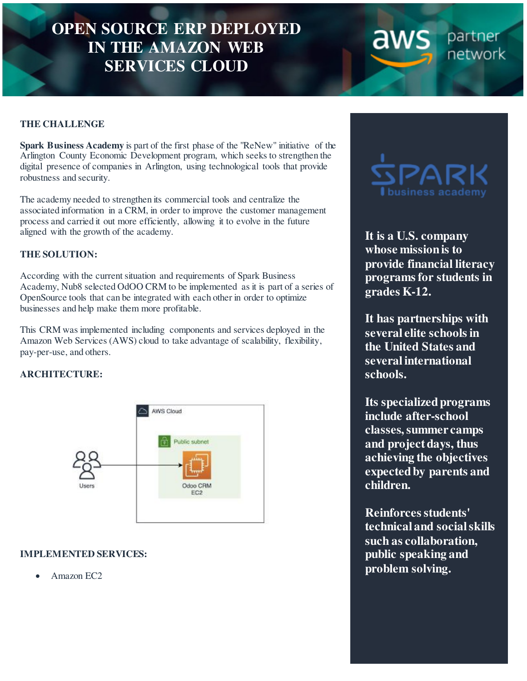# **OPEN SOURCE ERP DEPLOYED IN THE AMAZON WEB SERVICES CLOUD**

#### **THE CHALLENGE**

**Spark Business Academy** is part of the first phase of the "ReNew" initiative of the Arlington County Economic Development program, which seeks to strengthen the digital presence of companies in Arlington, using technological tools that provide robustness and security.

The academy needed to strengthen its commercial tools and centralize the associated information in a CRM, in order to improve the customer management process and carried it out more efficiently, allowing it to evolve in the future aligned with the growth of the academy.

#### **THE SOLUTION:**

According with the current situation and requirements of Spark Business Academy, Nub8 selected OdOO CRM to be implemented as it is part of a series of OpenSource tools that can be integrated with each other in order to optimize businesses and help make them more profitable.

This CRM was implemented including components and services deployed in the Amazon Web Services (AWS) cloud to take advantage of scalability, flexibility, pay-per-use, and others.

#### **ARCHITECTURE:**



#### **IMPLEMENTED SERVICES:**

Amazon EC2



aws

partner network

**It is a U.S. company whose mission is to provide financial literacy programs for students in grades K-12.**

**It has partnerships with several elite schools in the United States and several international schools.** 

**Its specialized programs include after-school classes, summer camps and project days, thus achieving the objectives expected by parents and children.** 

**Reinforces students' technical and social skills such as collaboration, public speaking and problem solving.**